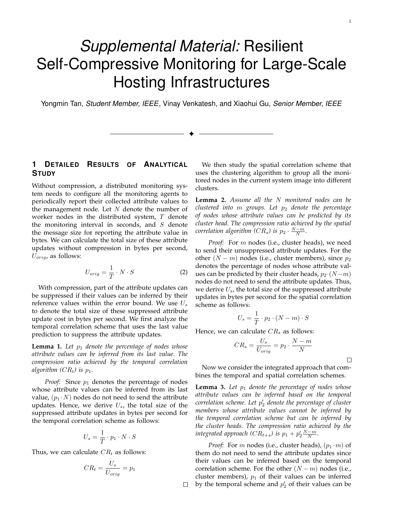# *Supplemental Material:* Resilient Self-Compressive Monitoring for Large-Scale Hosting Infrastructures

Yongmin Tan, *Student Member, IEEE*, Vinay Venkatesh, and Xiaohui Gu, *Senior Member, IEEE*

✦

 $\Box$ 

# **1 DETAILED RESULTS OF ANALYTICAL STUDY**

Without compression, a distributed monitoring system needs to configure all the monitoring agents to periodically report their collected attribute values to the management node. Let  $N$  denote the number of worker nodes in the distributed system,  $T$  denote the monitoring interval in seconds, and  $S$  denote the message size for reporting the attribute value in bytes. We can calculate the total size of these attribute updates without compression in bytes per second,  $U_{orig}$ , as follows:

$$
U_{orig} = \frac{1}{T} \cdot N \cdot S \tag{2}
$$

With compression, part of the attribute updates can be suppressed if their values can be inferred by their reference values within the error bound. We use  $U_s$ to denote the total size of these suppressed attribute update cost in bytes per second. We first analyze the temporal correlation scheme that uses the last value prediction to suppress the attribute updates.

**Lemma 1.** Let  $p_1$  denote the percentage of nodes whose *attribute values can be inferred from its last value. The compression ratio achieved by the temporal correlation algorithm*  $(CR_t)$  *is*  $p_1$ *.* 

*Proof:* Since  $p_1$  denotes the percentage of nodes whose attribute values can be inferred from its last value,  $(p_1 \cdot N)$  nodes do not need to send the attribute updates. Hence, we derive  $U_s$ , the total size of the suppressed attribute updates in bytes per second for the temporal correlation scheme as follows:

$$
U_s = \frac{1}{T} \cdot p_1 \cdot N \cdot S
$$

Thus, we can calculate  $CR<sub>t</sub>$  as follows:

$$
CR_t = \frac{U_s}{U_{orig}} = p_1
$$

We then study the spatial correlation scheme that uses the clustering algorithm to group all the monitored nodes in the current system image into different clusters.

**Lemma 2.** *Assume all the monitored nodes can be clustered into*  $m$  groups. Let  $p_2$  denote the percentage *of nodes whose attribute values can be predicted by its cluster head. The compression ratio achieved by the spatial correlation algorithm*  $(CR_s)$  *is*  $p_2 \cdot \frac{N-m}{N}$ *.* 

*Proof:* For *m* nodes (i.e., cluster heads), we need to send their unsuppressed attribute updates. For the other  $(N - m)$  nodes (i.e., cluster members), since  $p_2$ denotes the percentage of nodes whose attribute values can be predicted by their cluster heads,  $p_2 \cdot (N - m)$ nodes do not need to send the attribute updates. Thus, we derive  $U_s$ , the total size of the suppressed attribute updates in bytes per second for the spatial correlation scheme as follows:

$$
U_s = \frac{1}{T} \cdot p_2 \cdot (N - m) \cdot S
$$

Hence, we can calculate  $CR<sub>s</sub>$  as follows:

$$
CR_s = \frac{U_s}{U_{orig}} = p_2 \cdot \frac{N-m}{N}
$$

 $\Box$ 

1

Now we consider the integrated approach that combines the temporal and spatial correlation schemes.

**Lemma 3.** Let  $p_1$  denote the percentage of nodes whose *attribute values can be inferred based on the temporal correlation scheme. Let ′* <sup>2</sup> *denote the percentage of cluster members whose attribute values cannot be inferred by the temporal correlation scheme but can be inferred by the cluster heads. The compression ratio achieved by the integrated approach*  $(CR_{t+s})$  *is*  $p_1 + p'_2 \frac{N-m}{N}$ *.* 

*Proof:* For *m* nodes (i.e., cluster heads),  $(p_1 \cdot m)$  of them do not need to send the attribute updates since their values can be inferred based on the temporal correlation scheme. For the other  $(N - m)$  nodes (i.e., cluster members),  $p_1$  of their values can be inferred by the temporal scheme and  $p'_2$  of their values can be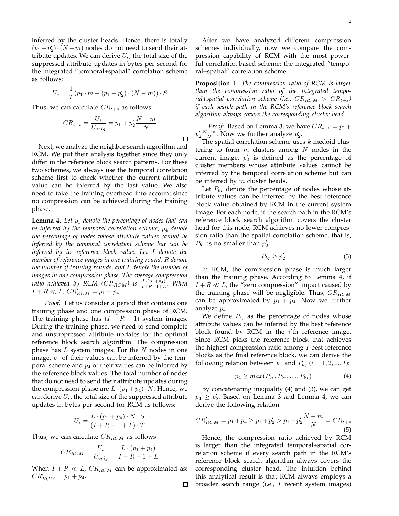inferred by the cluster heads. Hence, there is totally  $(p_1 + p'_2) \cdot (N - m)$  nodes do not need to send their attribute updates. We can derive  $U_s$ , the total size of the suppressed attribute updates in bytes per second for the integrated "temporal+spatial" correlation scheme as follows:

$$
U_s = \frac{1}{T}(p_1 \cdot m + (p_1 + p'_2) \cdot (N - m)) \cdot S
$$

Thus, we can calculate  $CR_{t+s}$  as follows:

$$
CR_{t+s} = \frac{U_s}{U_{orig}} = p_1 + p_2' \frac{N-m}{N}
$$

Next, we analyze the neighbor search algorithm and RCM. We put their analysis together since they only differ in the reference block search patterns. For these two schemes, we always use the temporal correlation scheme first to check whether the current attribute value can be inferred by the last value. We also need to take the training overhead into account since no compression can be achieved during the training phase.

**Lemma 4.** Let  $p_1$  denote the percentage of nodes that can *be inferred by the temporal correlation scheme,*  $p_4$  *denote the percentage of nodes whose attribute values cannot be inferred by the temporal correlation scheme but can be inferred by its reference block value. Let denote the number of reference images in one training round, denote the number of training rounds, and denote the number of images in one compression phase. The average compression ratio achieved by RCM (* $CR_{RCM}$ *) is*  $\frac{L \cdot (p_1 + p_4)}{I + R - 1 + L}$ *. When*  $I + R \ll L$ ,  $CR'_{RCM} = p_1 + p_4$ .

*Proof:* Let us consider a period that contains one training phase and one compression phase of RCM. The training phase has  $(I + R - 1)$  system images. During the training phase, we need to send complete and unsuppressed attribute updates for the optimal reference block search algorithm. The compression phase has  $L$  system images. For the  $N$  nodes in one image,  $p_1$  of their values can be inferred by the temporal scheme and  $p_4$  of their values can be inferred by the reference block values. The total number of nodes that do not need to send their attribute updates during the compression phase are  $L \cdot (p_1 + p_4) \cdot N$ . Hence, we can derive  $U_s$ , the total size of the suppressed attribute updates in bytes per second for RCM as follows:

$$
U_s = \frac{L \cdot (p_1 + p_4) \cdot N \cdot S}{(I + R - 1 + L) \cdot T}
$$

Thus, we can calculate  $CR_{RCM}$  as follows:

$$
CR_{RCM} = \frac{U_s}{U_{orig}} = \frac{L \cdot (p_1 + p_4)}{I + R - 1 + L}
$$

When  $I + R \ll L$ ,  $CR_{RCM}$  can be approximated as:  $CR'_{RCM} = p_1 + p_4.$ 

 $\Box$ 

After we have analyzed different compression schemes individually, now we compare the compression capability of RCM with the most powerful correlation-based scheme: the integrated "temporal+spatial" correlation scheme.

**Proposition 1.** *The compression ratio of RCM is larger than the compression ratio of the integrated temporal*+spatial correlation scheme (i.e.,  $CR_{RCM} > CR_{t+s}$ ) *if each search path in the RCM's reference block search algorithm always covers the corresponding cluster head.*

*Proof:* Based on Lemma 3, we have  $CR_{t+s} = p_1 +$  $p'_2 \frac{N-m}{N}$ . Now we further analyze  $p'_2$ .

The spatial correlation scheme uses  $k$ -medoid clustering to form  $m$  clusters among  $N$  nodes in the current image.  $p'_2$  is defined as the percentage of cluster members whose attribute values cannot be inferred by the temporal correlation scheme but can be inferred by  $m$  cluster heads.

Let  $P_{bI}$  denote the percentage of nodes whose attribute values can be inferred by the best reference block value obtained by RCM in the current system image. For each node, if the search path in the RCM's reference block search algorithm covers the cluster head for this node, RCM achieves no lower compression ratio than the spatial correlation scheme, that is,  $P_{b_I}$  is no smaller than  $p'_2$ :

$$
P_{b_I} \ge p_2' \tag{3}
$$

In RCM, the compression phase is much larger than the training phase. According to Lemma 4, if  $I + R \ll L$ , the "zero compression" impact caused by the training phase will be negligible. Thus,  $CR_{RCM}$ can be approximated by  $p_1 + p_4$ . Now we further analyze  $p_4$ .

We define  $P_{b_i}$  as the percentage of nodes whose attribute values can be inferred by the best reference block found by RCM in the *i*'th reference image. Since RCM picks the reference block that achieves the highest compression ratio among  $I$  best reference blocks as the final reference block, we can derive the following relation between  $p_4$  and  $P_{b_i}$   $(i = 1, 2, ..., I)$ :

$$
p_4 \geq max(P_{b_1}, P_{b_2}, \dots, P_{b_I})
$$
 (4)

By concatenating inequality (4) and (3), we can get  $p_4 \geq p'_2$ . Based on Lemma 3 and Lemma 4, we can derive the following relation:

$$
CR'_{RCM} = p_1 + p_4 \ge p_1 + p'_2 > p_1 + p'_2 \frac{N - m}{N} = CR_{t+s}
$$
\n(5)

Hence, the compression ratio achieved by RCM is larger than the integrated temporal+spatial correlation scheme if every search path in the RCM's reference block search algorithm always covers the corresponding cluster head. The intuition behind this analytical result is that RCM always employs a broader search range (i.e.,  $I$  recent system images)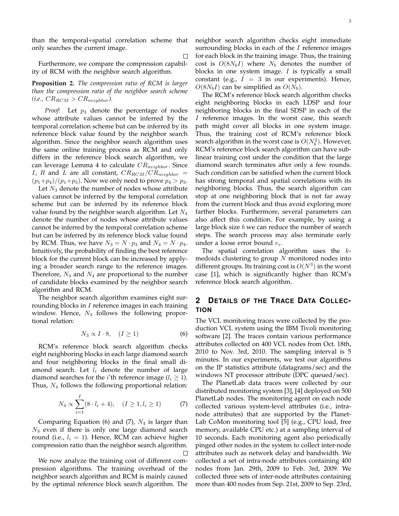than the temporal+spatial correlation scheme that only searches the current image.

 $\Box$ 

Furthermore, we compare the compression capability of RCM with the neighbor search algorithm.

**Proposition 2.** *The compression ratio of RCM is larger than the compression ratio of the neighbor search scheme*  $(i.e., CR_{RCM} > CR_{neighbor}).$ 

*Proof:* Let  $p_3$  denote the percentage of nodes whose attribute values cannot be inferred by the temporal correlation scheme but can be inferred by its reference block value found by the neighbor search algorithm. Since the neighbor search algorithm uses the same online training process as RCM and only differs in the reference block search algorithm, we can leverage Lemma 4 to calculate *CR*<sub>neighbor</sub>. Since *I*, *R* and *L* are all constant,  $CR_{RCM}/CR_{neighbor}$  =  $(p_1+p_4)/(p_1+p_3)$ . Now we only need to prove  $p_4 > p_3$ .

Let  $N_3$  denote the number of nodes whose attribute values cannot be inferred by the temporal correlation scheme but can be inferred by its reference block value found by the neighbor search algorithm. Let  $N_4$ denote the number of nodes whose attribute values cannot be inferred by the temporal correlation scheme but can be inferred by its reference block value found by RCM. Thus, we have  $N_3 = N \cdot p_3$  and  $N_4 = N \cdot p_4$ . Intuitively, the probability of finding the best reference block for the current block can be increased by applying a broader search range to the reference images. Therefore,  $N_3$  and  $N_4$  are proportional to the number of candidate blocks examined by the neighbor search algorithm and RCM.

The neighbor search algorithm examines eight surrounding blocks in  $I$  reference images in each training window. Hence,  $N_3$  follows the following proportional relation:

$$
N_3 \propto I \cdot 8, \quad (I \ge 1) \tag{6}
$$

RCM's reference block search algorithm checks eight neighboring blocks in each large diamond search and four neighboring blocks in the final small diamond search. Let  $l_i$  denote the number of large diamond searches for the  $i'$ <sup>th</sup> reference image ( $l_i \geq 1$ ). Thus,  $N_4$  follows the following proportional relation:

$$
N_4 \propto \sum_{i=1}^{I} (8 \cdot l_i + 4), \quad (I \ge 1, l_i \ge 1)
$$
 (7)

Comparing Equation (6) and (7),  $N_4$  is larger than  $N_3$  even if there is only one large diamond search round (i.e.,  $l_i = 1$ ). Hence, RCM can achieve higher compression ratio than the neighbor search algorithm. □

We now analyze the training cost of different compression algorithms. The training overhead of the neighbor search algorithm and RCM is mainly caused by the optimal reference block search algorithm. The neighbor search algorithm checks eight immediate surrounding blocks in each of the  $I$  reference images for each block in the training image. Thus, the training cost is  $O(8N_b I)$  where  $N_b$  denotes the number of blocks in one system image.  $I$  is typically a small constant (e.g.,  $I = 3$  in our experiments). Hence,  $O(8N_bI)$  can be simplified as  $O(N_b)$ .

The RCM's reference block search algorithm checks eight neighboring blocks in each LDSP and four neighboring blocks in the final SDSP in each of the I reference images. In the worst case, this search path might cover all blocks in one system image. Thus, the training cost of RCM's reference block search algorithm in the worst case is  $O(N_b^2)$ . However, RCM's reference block search algorithm can have sublinear training cost under the condition that the large diamond search terminates after only a few rounds. Such condition can be satisfied when the current block has strong temporal and spatial correlations with its neighboring blocks. Thus, the search algorithm can stop at one neighboring block that is not far away from the current block and thus avoid exploring more farther blocks. Furthermore, several parameters can also affect this condition. For example, by using a large block size  $b$  we can reduce the number of search steps. The search process may also terminate early under a loose error bound  $e_i$ .

The spatial correlation algorithm uses the  $k$ medoids clustering to group  $N$  monitored nodes into different groups. Its training cost is  $O(N^3)$  in the worst case [1], which is significantly higher than RCM's reference block search algorithm.

# **2 DETAILS OF THE TRACE DATA COLLEC-TION**

The VCL monitoring traces were collected by the production VCL system using the IBM Tivoli monitoring software [2]. The traces contain various performance attributes collected on 400 VCL nodes from Oct. 18th, 2010 to Nov. 3rd, 2010. The sampling interval is 5 minutes. In our experiments, we test our algorithms on the IP statistics attribute (datagrams/sec) and the windows NT processor attribute (DPC queued/sec).

The PlanetLab data traces were collected by our distributed monitoring system [3], [4] deployed on 500 PlanetLab nodes. The monitoring agent on each node collected various system-level attributes (i.e., intranode attributes) that are supported by the Planet-Lab CoMon monitoring tool [5] (e.g., CPU load, free memory, available CPU etc.) at a sampling interval of 10 seconds. Each monitoring agent also periodically pinged other nodes in the system to collect inter-node attributes such as network delay and bandwidth. We collected a set of intra-node attributes containing 400 nodes from Jan. 29th, 2009 to Feb. 3rd, 2009. We collected three sets of inter-node attributes containing more than 400 nodes from Sep. 21st, 2009 to Sep. 23rd,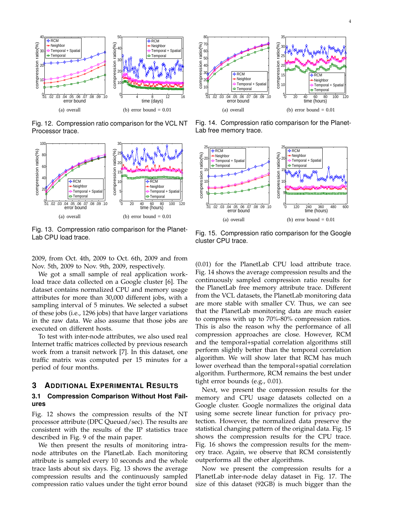

Fig. 12. Compression ratio comparison for the VCL NT Processor trace.



Fig. 13. Compression ratio comparison for the Planet-Lab CPU load trace.

2009, from Oct. 4th, 2009 to Oct. 6th, 2009 and from Nov. 5th, 2009 to Nov. 9th, 2009, respectively.

We got a small sample of real application workload trace data collected on a Google cluster [6]. The dataset contains normalized CPU and memory usage attributes for more than 30,000 different jobs, with a sampling interval of 5 minutes. We selected a subset of these jobs (i.e., 1296 jobs) that have larger variations in the raw data. We also assume that those jobs are executed on different hosts.

To test with inter-node attributes, we also used real Internet traffic matrices collected by previous research work from a transit network [7]. In this dataset, one traffic matrix was computed per 15 minutes for a period of four months.

#### **3 ADDITIONAL EXPERIMENTAL RESULTS**

## **3.1 Compression Comparison Without Host Failures**

Fig. 12 shows the compression results of the NT processor attribute (DPC Queued/sec). The results are consistent with the results of the IP statistics trace described in Fig. 9 of the main paper.

We then present the results of monitoring intranode attributes on the PlanetLab. Each monitoring attribute is sampled every 10 seconds and the whole trace lasts about six days. Fig. 13 shows the average compression results and the continuously sampled compression ratio values under the tight error bound



Fig. 14. Compression ratio comparison for the Planet-Lab free memory trace.



Fig. 15. Compression ratio comparison for the Google cluster CPU trace.

(0.01) for the PlanetLab CPU load attribute trace. Fig. 14 shows the average compression results and the continuously sampled compression ratio results for the PlanetLab free memory attribute trace. Different from the VCL datasets, the PlanetLab monitoring data are more stable with smaller CV. Thus, we can see that the PlanetLab monitoring data are much easier to compress with up to 70%-80% compression ratios. This is also the reason why the performance of all compression approaches are close. However, RCM and the temporal+spatial correlation algorithms still perform slightly better than the temporal correlation algorithm. We will show later that RCM has much lower overhead than the temporal+spatial correlation algorithm. Furthermore, RCM remains the best under tight error bounds (e.g., 0.01).

Next, we present the compression results for the memory and CPU usage datasets collected on a Google cluster. Google normalizes the original data using some secrete linear function for privacy protection. However, the normalized data preserve the statistical changing pattern of the original data. Fig. 15 shows the compression results for the CPU trace. Fig. 16 shows the compression results for the memory trace. Again, we observe that RCM consistently outperforms all the other algorithms.

Now we present the compression results for a PlanetLab inter-node delay dataset in Fig. 17. The size of this dataset (92GB) is much bigger than the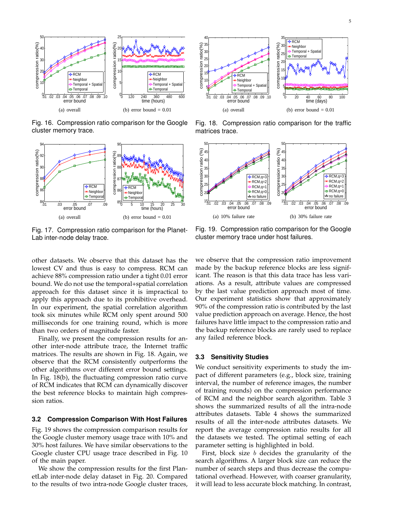

Fig. 16. Compression ratio comparison for the Google cluster memory trace.



Fig. 17. Compression ratio comparison for the Planet-Lab inter-node delay trace.



Fig. 18. Compression ratio comparison for the traffic matrices trace.



Fig. 19. Compression ratio comparison for the Google cluster memory trace under host failures.

other datasets. We observe that this dataset has the lowest CV and thus is easy to compress. RCM can achieve 88% compression ratio under a tight 0.01 error bound. We do not use the temporal+spatial correlation approach for this dataset since it is impractical to apply this approach due to its prohibitive overhead. In our experiment, the spatial correlation algorithm took six minutes while RCM only spent around 500 milliseconds for one training round, which is more than two orders of magnitude faster.

Finally, we present the compression results for another inter-node attribute trace, the Internet traffic matrices. The results are shown in Fig. 18. Again, we observe that the RCM consistently outperforms the other algorithms over different error bound settings. In Fig. 18(b), the fluctuating compression ratio curve of RCM indicates that RCM can dynamically discover the best reference blocks to maintain high compression ratios.

#### **3.2 Compression Comparison With Host Failures**

Fig. 19 shows the compression comparison results for the Google cluster memory usage trace with 10% and 30% host failures. We have similar observations to the Google cluster CPU usage trace described in Fig. 10 of the main paper.

We show the compression results for the first PlanetLab inter-node delay dataset in Fig. 20. Compared to the results of two intra-node Google cluster traces, we observe that the compression ratio improvement made by the backup reference blocks are less significant. The reason is that this data trace has less variations. As a result, attribute values are compressed by the last value prediction approach most of time. Our experiment statistics show that approximately 90% of the compression ratio is contributed by the last value prediction approach on average. Hence, the host failures have little impact to the compression ratio and the backup reference blocks are rarely used to replace any failed reference block.

#### **3.3 Sensitivity Studies**

We conduct sensitivity experiments to study the impact of different parameters (e.g., block size, training interval, the number of reference images, the number of training rounds) on the compression performance of RCM and the neighbor search algorithm. Table 3 shows the summarized results of all the intra-node attributes datasets. Table 4 shows the summarized results of all the inter-node attributes datasets. We report the average compression ratio results for all the datasets we tested. The optimal setting of each parameter setting is highlighted in bold.

First, block size  $b$  decides the granularity of the search algorithms. A larger block size can reduce the number of search steps and thus decrease the computational overhead. However, with coarser granularity, it will lead to less accurate block matching. In contrast,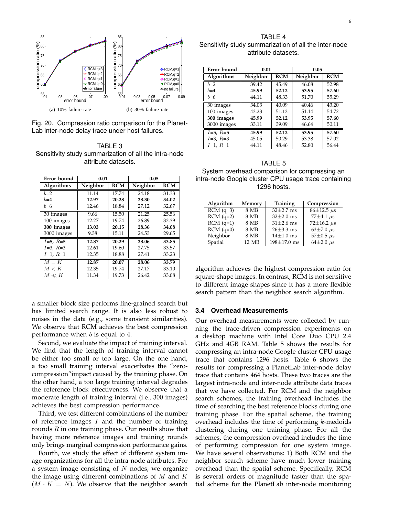

Fig. 20. Compression ratio comparison for the Planet-Lab inter-node delay trace under host failures.

TABLE 3 Sensitivity study summarization of all the intra-node attribute datasets.

| Error bound | 0.01     |            | 0.05     |            |
|-------------|----------|------------|----------|------------|
| Algorithms  | Neighbor | <b>RCM</b> | Neighbor | <b>RCM</b> |
| $b=2$       | 11.14    | 17.74      | 24.18    | 31.33      |
| $b=4$       | 12.97    | 20.28      | 28.30    | 34.02      |
| $b=6$       | 12.46    | 18.84      | 27.12    | 32.67      |
| 30 images   | 9.66     | 15.50      | 21.25    | 25.56      |
| 100 images  | 12.27    | 19.74      | 26.89    | 32.39      |
| 300 images  | 13.03    | 20.15      | 28.36    | 34.08      |
| 3000 images | 9.38     | 15.11      | 24.53    | 29.65      |
| $I=5, R=5$  | 12.87    | 20.29      | 28.06    | 33.85      |
| $I=3, R=3$  | 12.61    | 19.60      | 27.75    | 33.57      |
| $I=1, R=1$  | 12.35    | 18.88      | 27.41    | 33.23      |
| $M = K$     | 12.87    | 20.07      | 28.06    | 33.79      |
| M < K       | 12.35    | 19.74      | 27.17    | 33.10      |
| $M \ll K$   | 11.34    | 19.73      | 26.42    | 33.08      |

a smaller block size performs fine-grained search but has limited search range. It is also less robust to noises in the data (e.g., some transient similarities). We observe that RCM achieves the best compression performance when  $b$  is equal to 4.

Second, we evaluate the impact of training interval. We find that the length of training interval cannot be either too small or too large. On the one hand, a too small training interval exacerbates the "zerocompression"impact caused by the training phase. On the other hand, a too large training interval degrades the reference block effectiveness. We observe that a moderate length of training interval (i.e., 300 images) achieves the best compression performance.

Third, we test different combinations of the number of reference images  $I$  and the number of training rounds  $R$  in one training phase. Our results show that having more reference images and training rounds only brings marginal compression performance gains.

Fourth, we study the effect of different system image organizations for all the intra-node attributes. For a system image consisting of  $N$  nodes, we organize the image using different combinations of  $M$  and  $K$  $(M \cdot K = N)$ . We observe that the neighbor search

TABLE 4 Sensitivity study summarization of all the inter-node attribute datasets.

| Error bound | 0.01     |            | 0.05     |            |
|-------------|----------|------------|----------|------------|
| Algorithms  | Neighbor | <b>RCM</b> | Neighbor | <b>RCM</b> |
| $b=2$       | 39.42    | 45.49      | 46.08    | 52.98      |
| $b=4$       | 45.99    | 52.12      | 53.95    | 57.60      |
| $b=6$       | 44.11    | 48.33      | 51.70    | 55.29      |
| 30 images   | 34.03    | 40.09      | 40.46    | 43.20      |
| 100 images  | 43.23    | 51.12      | 51.14    | 54.72      |
| 300 images  | 45.99    | 52.12      | 53.95    | 57.60      |
| 3000 images | 33.11    | 39.09      | 46.64    | 50.11      |
| $I=5, R=5$  | 45.99    | 52.12      | 53.95    | 57.60      |
| $I=3, R=3$  | 45.05    | 50.29      | 53.38    | 57.02      |
| $I=1, R=1$  | 44.11    | 48.46      | 52.80    | 56.44      |

TABLE 5

System overhead comparison for compressing an intra-node Google cluster CPU usage trace containing 1296 hosts.

| Algorithm   | Memory | Training          | Compression                       |
|-------------|--------|-------------------|-----------------------------------|
| $RCM$ (q=3) | 8 MB   | $32\pm2.7$ ms     | $86 \pm 12.5 \text{ }\mu\text{s}$ |
| $RCM$ (q=2) | 8 MB   | $32 \pm 2.0$ ms   | $77\pm4.1 \text{ }\mu\text{s}$    |
| $RCM$ (q=1) | 8 MB   | $31\pm2.6$ ms     | $72 \pm 16.2 \text{ }\mu\text{s}$ |
| $RCM$ (q=0) | 8 MB   | $26 \pm 3.3$ ms   | $63\pm7.0 \text{ }\mu\text{s}$    |
| Neighbor    | 8 MB   | $14\pm1.0$ ms     | 57 $\pm$ 0.5 $\mu$ s              |
| Spatial     | 12 MB  | $198 \pm 17.0$ ms | $64\pm2.0 \text{ }\mu\text{s}$    |

algorithm achieves the highest compression ratio for square-shape images. In contrast, RCM is not sensitive to different image shapes since it has a more flexible search pattern than the neighbor search algorithm.

#### **3.4 Overhead Measurements**

Our overhead measurements were collected by running the trace-driven compression experiments on a desktop machine with Intel Core Duo CPU 2.4 GHz and 4GB RAM. Table 5 shows the results for compressing an intra-node Google cluster CPU usage trace that contains 1296 hosts. Table 6 shows the results for compressing a PlanetLab inter-node delay trace that contains 464 hosts. These two traces are the largest intra-node and inter-node attribute data traces that we have collected. For RCM and the neighbor search schemes, the training overhead includes the time of searching the best reference blocks during one training phase. For the spatial scheme, the training overhead includes the time of performing  $k$ -medoids clustering during one training phase. For all the schemes, the compression overhead includes the time of performing compression for one system image. We have several observations: 1) Both RCM and the neighbor search scheme have much lower training overhead than the spatial scheme. Specifically, RCM is several orders of magnitude faster than the spatial scheme for the PlanetLab inter-node monitoring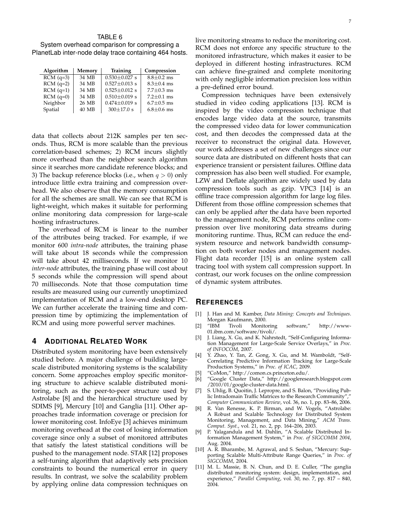## TABLE 6

System overhead comparison for compressing a PlanetLab inter-node delay trace containing 464 hosts.

| Algorithm   | Memory | <b>Training</b>     | Compression      |
|-------------|--------|---------------------|------------------|
| $RCM$ (q=3) | 34 MB  | $0.530 \pm 0.027$ s | $8.8 \pm 0.2$ ms |
| $RCM$ (q=2) | 34 MB  | $0.527 \pm 0.013$ s | $8.3 \pm 0.4$ ms |
| $RCM$ (q=1) | 34 MB  | $0.525 \pm 0.012$ s | $7.7 \pm 0.3$ ms |
| $RCM$ (q=0) | 34 MB  | $0.510 \pm 0.019$ s | $7.2 \pm 0.1$ ms |
| Neighbor    | 26 MB  | $0.474 \pm 0.019$ s | $6.7 \pm 0.5$ ms |
| Spatial     | 40 MB  | $300\pm17.0$ s      | $6.8 \pm 0.6$ ms |

data that collects about 212K samples per ten seconds. Thus, RCM is more scalable than the previous correlation-based schemes; 2) RCM incurs slightly more overhead than the neighbor search algorithm since it searches more candidate reference blocks; and 3) The backup reference blocks (i.e., when  $q > 0$ ) only introduce little extra training and compression overhead. We also observe that the memory consumption for all the schemes are small. We can see that RCM is light-weight, which makes it suitable for performing online monitoring data compression for large-scale hosting infrastructures.

The overhead of RCM is linear to the number of the attributes being tracked. For example, if we monitor 600 *intra-node* attributes, the training phase will take about 18 seconds while the compression will take about 42 milliseconds. If we monitor 10 *inter-node* attributes, the training phase will cost about 5 seconds while the compression will spend about 70 milliseconds. Note that those computation time results are measured using our currently unoptimized implementation of RCM and a low-end desktop PC. We can further accelerate the training time and compression time by optimizing the implementation of RCM and using more powerful server machines.

## **4 ADDITIONAL RELATED WORK**

Distributed system monitoring have been extensively studied before. A major challenge of building largescale distributed monitoring systems is the scalability concern. Some approaches employ specific monitoring structure to achieve scalable distributed monitoring, such as the peer-to-peer structure used by Astrolabe [8] and the hierarchical structure used by SDIMS [9], Mercury [10] and Ganglia [11]. Other approaches trade information coverage or precision for lower monitoring cost. InfoEye [3] achieves minimum monitoring overhead at the cost of losing information coverage since only a subset of monitored attributes that satisfy the latest statistical conditions will be pushed to the management node. STAR [12] proposes a self-tuning algorithm that adaptively sets precision constraints to bound the numerical error in query results. In contrast, we solve the scalability problem by applying online data compression techniques on

live monitoring streams to reduce the monitoring cost. RCM does not enforce any specific structure to the monitored infrastructure, which makes it easier to be deployed in different hosting infrastructures. RCM can achieve fine-grained and complete monitoring with only negligible information precision loss within a pre-defined error bound.

Compression techniques have been extensively studied in video coding applications [13]. RCM is inspired by the video compression technique that encodes large video data at the source, transmits the compressed video data for lower communication cost, and then decodes the compressed data at the receiver to reconstruct the original data. However, our work addresses a set of new challenges since our source data are distributed on different hosts that can experience transient or persistent failures. Offline data compression has also been well studied. For example, LZW and Deflate algorithm are widely used by data compression tools such as gzip. VPC3 [14] is an offline trace compression algorithm for large log files. Different from those offline compression schemes that can only be applied after the data have been reported to the management node, RCM performs online compression over live monitoring data streams during monitoring runtime. Thus, RCM can reduce the endsystem resource and network bandwidth consumption on both worker nodes and management nodes. Flight data recorder [15] is an online system call tracing tool with system call compression support. In contrast, our work focuses on the online compression of dynamic system attributes.

### **REFERENCES**

- [1] J. Han and M. Kamber, *Data Mining: Concepts and Techniques*. Morgan Kaufmann, 2000.
- [2] "IBM Tivoli Monitoring software," http://www-01.ibm.com/software/tivoli/.
- [3] J. Liang, X. Gu, and K. Nahrstedt, "Self-Configuring Information Management for Large-Scale Service Overlays," in *Proc. of INFOCOM*, 2007.
- [4] Y. Zhao, Y. Tan, Z. Gong, X. Gu, and M. Wamboldt, "Self-Correlating Predictive Information Tracking for Large-Scale Production Systems," in *Proc. of ICAC*, 2009.
- [5] "CoMon," http://comon.cs.princeton.edu/.
- [6] "Google Cluster Data," http://googleresearch.blogspot.com /2010/01/google-cluster-data.html.
- [7] S. Uhlig, B. Quoitin, J. Lepropre, and S. Balon, "Providing Public Intradomain Traffic Matrices to the Research Community", *Computer Communication Review*, vol. 36, no. 1, pp. 83–86, 2006.
- [8] R. Van Renesse, K. P. Birman, and W. Vogels, "Astrolabe: A Robust and Scalable Technology for Distributed System Monitoring, Management, and Data Mining," *ACM Trans. Comput. Syst.*, vol. 21, no. 2, pp. 164–206, 2003.
- P. Yalagandula and M. Dahlin, "A Scalable Distributed Information Management System," in *Proc. of SIGCOMM 2004*, Aug. 2004.
- [10] A. R. Bharambe, M. Agrawal, and S. Seshan, "Mercury: Supporting Scalable Multi-Attribute Range Queries," in *Proc. of SIGCOMM*, 2004.
- [11] M. L. Massie, B. N. Chun, and D. E. Culler, "The ganglia distributed monitoring system: design, implementation, and experience," *Parallel Computing*, vol. 30, no. 7, pp. 817 – 840, 2004.